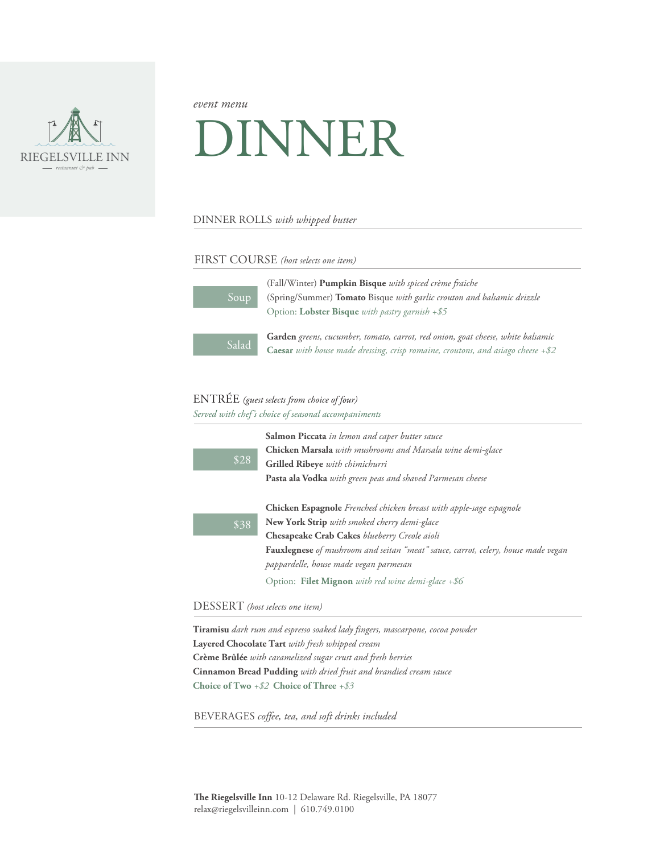

*event menu*

# DINNER

### DINNER ROLLS *with whipped butter*

### FIRST COURSE *(host selects one item)*

| Soup  | (Fall/Winter) <b>Pumpkin Bisque</b> with spiced crème fraiche<br>(Spring/Summer) Tomato Bisque with garlic crouton and balsamic drizzle |
|-------|-----------------------------------------------------------------------------------------------------------------------------------------|
|       | Option: Lobster Bisque with pastry garnish +\$5                                                                                         |
|       |                                                                                                                                         |
| Salad | Garden greens, cucumber, tomato, carrot, red onion, goat cheese, white balsamic                                                         |
|       | <b>Caesar</b> with house made dressing, crisp romaine, croutons, and asiago cheese $+$ \$2                                              |

## ENTRÉE *(guest selects from choice of four)*

*Served with chef's choice of seasonal accompaniments* 

|      | Salmon Piccata in lemon and caper butter sauce                                    |
|------|-----------------------------------------------------------------------------------|
| \$28 | Chicken Marsala with mushrooms and Marsala wine demi-glace                        |
|      | Grilled Ribeye with chimichurri                                                   |
|      | Pasta ala Vodka with green peas and shaved Parmesan cheese                        |
|      | Chicken Espagnole Frenched chicken breast with apple-sage espagnole               |
| \$38 | New York Strip with smoked cherry demi-glace                                      |
|      | Chesapeake Crab Cakes blueberry Creole aioli                                      |
|      | Fauxlegnese of mushroom and seitan "meat" sauce, carrot, celery, house made vegan |
|      | pappardelle, house made vegan parmesan                                            |
|      | Option: Filet Mignon with red wine demi-glace +\$6                                |

DESSERT *(host selects one item)*

**Tiramisu** *dark rum and espresso soaked lady fingers, mascarpone, cocoa powder* **Layered Chocolate Tart** *with fresh whipped cream* **Crème Brûlée** *with caramelized sugar crust and fresh berries* **Cinnamon Bread Pudding** *with dried fruit and brandied cream sauce* **Choice of Two** *+\$2* **Choice of Three** *+\$3*

BEVERAGES *coffee, tea, and soft drinks included*